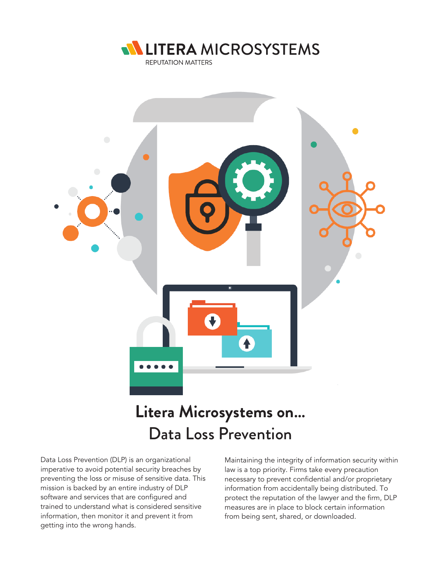



# **Litera Microsystems on…** Data Loss Prevention

Data Loss Prevention (DLP) is an organizational imperative to avoid potential security breaches by preventing the loss or misuse of sensitive data. This mission is backed by an entire industry of DLP software and services that are configured and trained to understand what is considered sensitive information, then monitor it and prevent it from getting into the wrong hands.

Maintaining the integrity of information security within law is a top priority. Firms take every precaution necessary to prevent confidential and/or proprietary information from accidentally being distributed. To protect the reputation of the lawyer and the firm, DLP measures are in place to block certain information from being sent, shared, or downloaded.